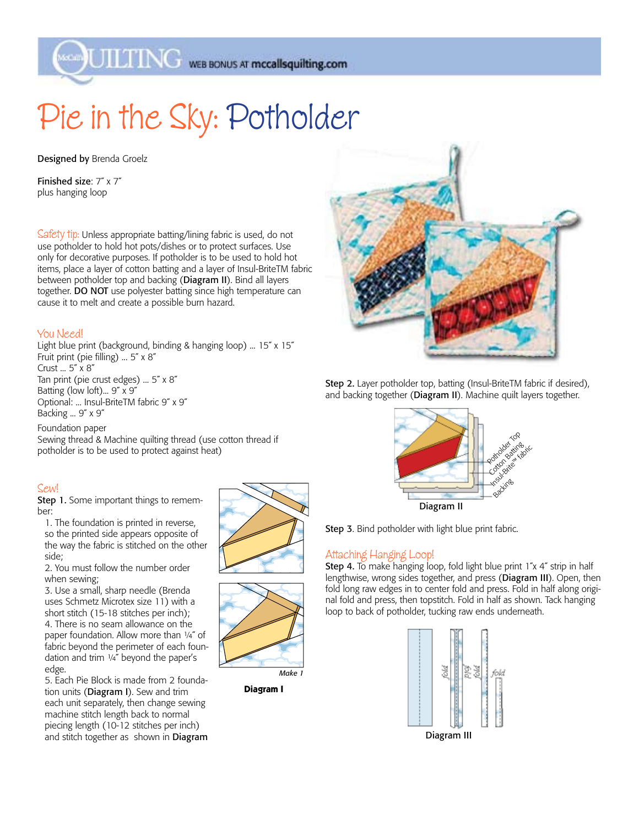MAG WEB BONUS AT mccallsquilting.com

## Pie in the Sky: Potholder

Designed by Brenda Groelz

Finished size: 7˝ x 7˝ plus hanging loop

Safety tip: Unless appropriate batting/lining fabric is used, do not use potholder to hold hot pots/dishes or to protect surfaces. Use only for decorative purposes. If potholder is to be used to hold hot items, place a layer of cotton batting and a layer of Insul-BriteTM fabric between potholder top and backing (Diagram II). Bind all layers together. DO NOT use polyester batting since high temperature can cause it to melt and create a possible burn hazard.

## You Need!

Light blue print (background, binding & hanging loop) ... 15˝ x 15˝ Fruit print (pie filling) ... 5˝ x 8˝ Crust ... 5˝ x 8˝ Tan print (pie crust edges) ... 5˝ x 8˝ Batting (low loft)... 9˝ x 9˝ Optional: ... Insul-BriteTM fabric 9˝ x 9˝ Backing ... 9˝ x 9˝

Foundation paper

Sewing thread & Machine quilting thread (use cotton thread if potholder is to be used to protect against heat)

## Sew!

Step 1. Some important things to remember:

1. The foundation is printed in reverse, so the printed side appears opposite of the way the fabric is stitched on the other side;

2. You must follow the number order when sewing;

3. Use a small, sharp needle (Brenda uses Schmetz Microtex size 11) with a short stitch (15-18 stitches per inch); 4. There is no seam allowance on the paper foundation. Allow more than 1/4" of fabric beyond the perimeter of each foundation and trim ¼˝ beyond the paper's edge.

5. Each Pie Block is made from 2 foundation units (Diagram I). Sew and trim each unit separately, then change sewing machine stitch length back to normal piecing length (10-12 stitches per inch) and stitch together as shown in Diagram





**Diagram I**



Step 2. Layer potholder top, batting (Insul-BriteTM fabric if desired), and backing together (Diagram II). Machine quilt layers together.



Step 3. Bind potholder with light blue print fabric.

## Attaching Hanging Loop!

Step 4. To make hanging loop, fold light blue print 1"x 4" strip in half lengthwise, wrong sides together, and press (Diagram III). Open, then fold long raw edges in to center fold and press. Fold in half along original fold and press, then topstitch. Fold in half as shown. Tack hanging loop to back of potholder, tucking raw ends underneath.